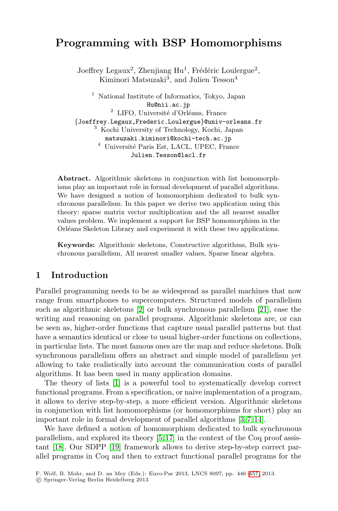# **Programming with BSP Homomorphisms**

Joeffrey Legaux<sup>2</sup>, Zhenjiang Hu<sup>1</sup>, Frédéric Loulergue<sup>2</sup>, Kiminori Matsuzaki<sup>3</sup>, and Julien Tesson<sup>4</sup>

 $^{\rm 1}$  National Institute of Informatics, Tokyo, Japan Hu@nii.ac.jp  $2$  LIFO, Université d'Orléans, France {Joeffrey.Legaux,Frederic.Loulergue}@univ-orleans.fr <sup>3</sup> Kochi University of Technology, Kochi, Japan matsuzaki.kiminori@kochi-tech.ac.jp  $^4\,$ Université Paris Est, LACL, UPEC, France Julien.Tesson@lacl.fr

**Abstract.** Algorithmic skeletons in conjunction with list homomorphisms play an important role in formal development of parallel algorithms. We have designed a notion of homomorphism dedicated to bulk synchronous parallelism. In this paper we derive two application using this theory: sparse matrix vector multiplication and the all nearest smaller values problem. We implement a support for BSP homomorphism in the Orléans Skeleton Library and experiment it with these two applications.

**Key[wor](#page-10-0)ds:** Algorithmic skeletons, Construc[tive](#page-11-0) algorithms, Bulk synchronous parallelism, All nearest smaller values, Sparse linear algebra.

## **1 Introduction**

Parallel programming needs to be as widespread as parallel machines that now range from smartphones to supercomputers. Structured models of parallelism such [as](#page-10-1) algorithmic skeletons [2] or bulk synchronous parallelism [21], ease the writing and reasoning on parallel programs. Algorithmic skeletons are, or can be seen as, higher-order functions that capture usual parallel patterns but that have a semantics identical or close to usual higher-order functions on collections, in particular lists. The most famous ones ar[e](#page-10-2) [th](#page-11-1)[e m](#page-11-2)ap and reduce skeletons. Bulk synchronous parallelism offers an abstract and simple model of parallelism yet allowing to take r[ea](#page-10-3)[list](#page-11-3)ically into account the communication costs of parallel algo[rith](#page-11-4)ms. It has been used in many application domains.

The theory of lists [1] is a powerful tool to systematically develop correct functional programs. From a specification, or naive implementation of a program, it allows to derive step-by-step, a more effici[ent](#page-11-5) version. Algorithmic skeletons in conjunction with list homomorphisms (or homomorphisms for short) play an important role in formal development of parallel algorithms [3, 7, 14].

We have defined a notion of homomorphism dedicated to bulk synchronous parallelism, and explored its theory [5, 17] in the context of the Coq proof assistant [18]. Our SDPP [19] framework allows to derive step-by-step correct parallel programs in Coq and then to extract functional parallel programs for the

F. Wolf, B. Mohr, and D. an Mey (Eds.): Euro-Par 2013, LNCS 8097, pp. 446–457, 2013.

<sup>-</sup>c Springer-Verlag Berlin Heidelberg 2013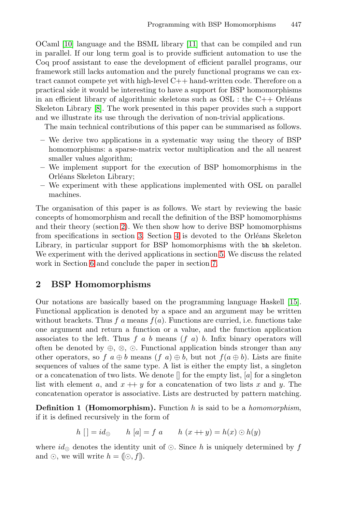[O](#page-11-6)Caml [10] language and the BSML library [11] that can be compiled and run in parallel. If our long term goal is to provide sufficient automation to use the Coq proof assistant to ease the development of efficient parallel programs, our framework still lacks automation and the purely functional programs we can extract cannot compete yet with high-level C++ hand-written code. Therefore on a practical side it would be interesting to have a support for BSP homomorphisms in an efficient library of algorithmic skeletons such as  $OSL$ : the  $C++$  Orléans Skeleton Library [8]. The work presented in this paper provides such a support and we illustrate its use through the derivation of non-trivial applications.

The main technical contributions of this paper can be summarised as follows.

- <span id="page-1-0"></span>**–** We derive two applications in a systematic way using the theory of BSP homomorphisms: a sparse-matrix vector multiplication and the all nearest sm[all](#page-1-0)er values algorithm;
- **–** We imp[lem](#page-2-0)ent sup[po](#page-6-0)rt for the execution of BSP homomorphisms in the Orléans Skeleton Library;
- **–** We experiment with these appli[ca](#page-9-0)tions implemented with OSL on parallel machines.

The organisation of this paper is as follows. We start by reviewing the basic concepts of homomorphism and recall the definition of the BSP homomorphisms and their theory (section 2). We then show how to derive BSP homomorphisms from specifications in section 3. Section 4 is devoted to [the](#page-11-7) Orléans Skeleton Library, in particular support for BSP homomorphisms with the bh skeleton. We experiment with the derived applications in section 5. We discuss the related work in Section 6 and conclude the paper in section 7.

## <span id="page-1-1"></span>**2 BSP Homomorphisms**

Our notations are basically based on the programming language Haskell [15]. Functional application is denoted by a space and an argument may be written without brackets. Thus f a means  $f(a)$ . Functions are curried, i.e. functions take one argument and return a function or a value, and the function application associates to the left. Thus  $f$  a  $b$  means  $(f \, a)$   $b$ . Infix binary operators will often be denoted by  $\oplus$ ,  $\otimes$ ,  $\odot$ . Functional application binds stronger than any other operators, so f  $a \oplus b$  means  $(f \ a) \oplus b$ , but not  $f(a \oplus b)$ . Lists are finite sequences of values of the same type. A list is either the empty list, a singleton or a concatenation of two lists. We denote  $\parallel$  for the empty list,  $[a]$  for a singleton list with element a, and  $x + y$  for a concatenation of two lists x and y. The concatenation operator is associative. Lists are destructed by pattern matching.

**Definition 1 (Homomorphism).** Function h is said to be a *homomorphism*, if it is defined recursively in the form of

$$
h []= id_{\odot} \qquad h [a] = f a \qquad h (x+y) = h(x) \odot h(y)
$$

where  $id_{\odot}$  denotes the identity unit of  $\odot$ . Since h is uniquely determined by f and  $\odot$ , we will write  $h = (\odot, f)$ .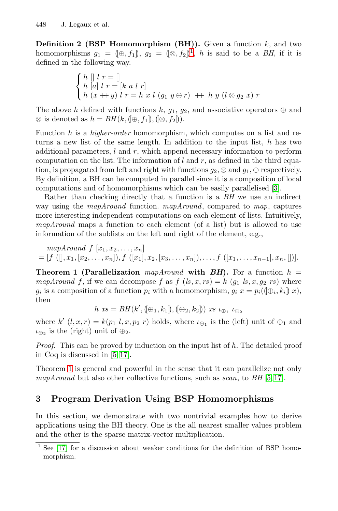**Definition 2 (BSP Homomorphism (BH)).** Given a function  $k$ , and two homomorphisms  $g_1 = (\oplus, f_1), g_2 = (\otimes, f_2)^1$ , h is said to be a *BH*, if it is defined in the following way.

$$
\begin{cases}\nh \n\begin{bmatrix}\nl r = \n\end{bmatrix} \\
h \n\begin{bmatrix}\na \\
k r = \n\end{bmatrix} \\
h \n\begin{bmatrix}\nx + y\n\end{bmatrix} \\
r = h \n\end{bmatrix} \\
x \n\begin{bmatrix}\ng_1 y \oplus r\n\end{bmatrix} + h \n\begin{bmatrix}\ny (\n\otimes g_2 x)\n\end{bmatrix} \\
r = h \n\end{cases}
$$

The above h defined with functions k,  $g_1, g_2$ , and associative operators  $\oplus$  and ⊗ is denoted as  $h = BH(k, (\oplus, f_1), (\otimes, f_2))$ .

<span id="page-2-1"></span>Function h is a *higher-order* homomorphism, which computes on a list and returns a new list of the same length. In addition to the input list, h has two additional parameters,  $l$  and  $r$ , which append necessary information to perform computation on the list. The information of  $l$  and  $r$ , as defined in the third equation, is propagated from left and right with functions  $q_2$ , ⊗ and  $q_1$ , ⊕ respectively. By definition, a BH can be computed in parallel since it is a composition of local computations and of homomorphisms which can be easily parallelised [3].

Rather than checking directly that a function is a *BH* we use an indirect way using the *mapAround* function. *mapAround*, compared to *map*, captures more interesting independent computations on each element of lists. Intuitively, *mapAround* maps a function to each element (of a list) but is allowed to use information of the sublists on the left and right of the element, e.g.,

<span id="page-2-0"></span>mapAround 
$$
f[x_1, x_2,...,x_n]
$$
  
=  $[f([0, x_1, [x_2,...,x_n]), f([x_1], x_2, [x_3,...,x_n]),..., f([x_1,...,x_{n-1}],x_n,[])].$ 

**Theorem 1 (Parallelization** mapAround with  $BH$ ). For a function  $h =$ *map[Ar](#page-10-3)[oun](#page-11-3)d* f, if we can decompose f as  $f (ls, x, rs) = k (g_1 ls, x, g_2 rs)$  where  $g_i$  is a composition of a function  $p_i$  with a homomorphism,  $g_i x = p_i((\theta_i, k_i)x)$ , then

$$
h\ \text{xs}=BH(k',(\oplus_1,k_1),(\oplus_2,k_2))\ \text{xs}\ \iota_{\oplus_1}\ \iota_{\oplus_2}
$$

where k'  $(l, x, r) = k(p_1 l, x, p_2 r)$  holds, where  $\iota_{\bigoplus}$  is the (left) unit of  $\bigoplus$ <sub>1</sub> and  $\iota_{\oplus_2}$  is the (right) unit of  $\oplus_2$ .

*Proof.* This can be proved by induction on the input list of h. The detailed proof in Coq is discussed in [5, 17].

Theorem 1 is general and powerful in the sense that it can parallelize not only *mapAround* but also other collective functions, such as *scan*, to *BH* [5, 17].

## **3 Program Derivation Using BSP Homomorphisms**

In this section, we demonstrate with two nontrivial examples how to derive applications using the BH theory. One is the all nearest smaller values problem and the other is the sparse matrix-vector multiplication.

See [17] for a discussion about weaker conditions for the definition of BSP homomorphism.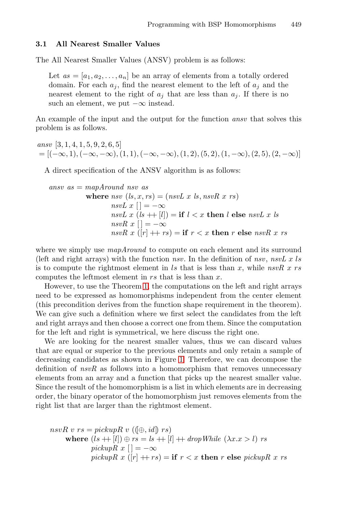#### **3.1 All Nearest Smaller Values**

The All Nearest Smaller Values (ANSV) problem is as follows:

Let  $as = [a_1, a_2, \ldots, a_n]$  be an array of elements from a totally ordered domain. For each  $a_j$ , find the nearest element to the left of  $a_j$  and the nearest element to the right of  $a_j$  that are less than  $a_j$ . If there is no such an element, we put  $-\infty$  instead.

An example of the input and the output for the function *ansv* that solves this problem is as follows.

*ansv* [3, 1, 4, 1, 5, 9, 2, 6, 5]  $=[(-\infty, 1), (-\infty, -\infty), (1, 1), (-\infty, -\infty), (1, 2), (5, 2), (1, -\infty), (2, 5), (2, -\infty)]$ 

A direct specification of the ANSV algorithm is as follows:

*ansv as* = *mapAround nsv as* where  $nsv$   $(ls, x, rs) = (nsvL x ls, nsvR x rs)$ *nsvL*  $x$   $\vert$  =  $-\infty$ *nsvL*  $x$  (*ls*  $+$  [*l*]) = **if**  $l < x$  **then** *l* **else** *nsvL*  $x$  *ls*  $nsvR \; x \; [] = -\infty$  $nsvR\ x\ ([r] + rs) =$  **if**  $r < x$  **then** r **else**  $nsvR\ x\ rs$ 

where we simply use *mapAround* to compute on each element and its surround (left and right arrays) with the function *nsv*. In the definition of *nsv*, *nsvL* x ls is to compute the rightmost element in  $ls$  that is less than  $x$ , while  $nsvR$  x  $rs$ computes the leftmost element in  $rs$  that is less than  $x$ .

However, to use the T[he](#page-4-0)orem 1, the computations on the left and right arrays need to be expressed as homomorphisms independent from the center element (this precondition derives from the function shape requirement in the theorem). We can give such a definition where we first select the candidates from the left and right arrays and then choose a correct one from them. Since the computation for the left and right is symmetrical, we here discuss the right one.

We are looking for the nearest smaller values, thus we can discard values that are equal or superior to the previous elements and only retain a sample of decreasing candidates as shown in Figure 1. Therefore, we can decompose the definition of *nsvR* as follows into a homomorphism that removes unnecessary elements from an array and a function that picks up the nearest smaller value. Since the result of the homomorphism is a list in which elements are in decreasing order, the binary operator of the homomorphism just removes elements from the right list that are larger than the rightmost element.

nsvR v  $rs = pickupR v$  ( $(\oplus, id)$  rs) where  $(ls + |l|) \oplus rs = ls + |l| + dropWhile (\lambda x.x > l) rs$ *pickupR*  $x$   $|$  =  $-\infty$ *pickupR*  $x$  ([r]  $+r$  *rs*) = **if**  $r < x$  **then**  $r$  **else** *pickupR*  $x$  *rs*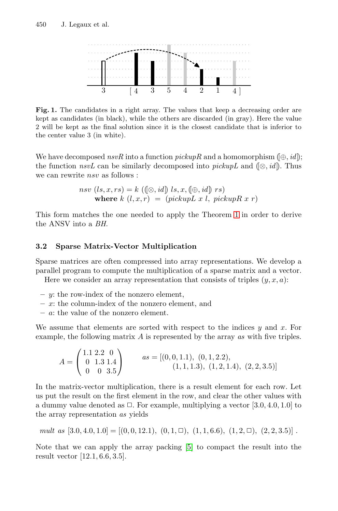<span id="page-4-0"></span>

Fig. 1. The candidates in a right array. The values that keep a decreasing order are kept as candidates (in black), while the others are discarded (in gray). Here the value 2 will be kept as the final solution since it is the closest candidate that is inferior to the center value 3 (in white).

We have decomposed  $nsvR$  into a function  $pickupR$  and a homomorphism  $(\oplus, id)$ ; the function  $nsvL$  can be similarly decomposed into  $pickupL$  and  $(\otimes, id)$ . Thus we can rewrite  $nsv$  as follows :

$$
nsv (ls, x, rs) = k ((\otimes, id) ls, x, (\oplus, id) rs)
$$
  
where  $k (l, x, r) = (pickupL x l, pickupR x r)$ 

This form matches the one needed to apply the Theorem 1 in order to derive the ANSV into a *BH*.

## **3.2 Sparse Matrix-Vector Multiplication**

Sparse matrices are often compressed into array representations. We develop a parallel program to compute the multiplication of a sparse matrix and a vector. Here we consider an array representation that consists of triples  $(y, x, a)$ :

- 
- **–** y: the row-index of the nonzero element,
- **–** x: the column-index of the nonzero element, and
- **–** a: the value of the nonzero element.

We assume that elements are sorted with respect to the indices  $y$  and  $x$ . For example, the following matrix A is represented by the array *as* with five triples.

$$
A = \begin{pmatrix} 1.1 & 2.2 & 0 \\ 0 & 1.3 & 1.4 \\ 0 & 0 & 3.5 \end{pmatrix} \qquad \text{as} = [(0, 0, 1.1), (0, 1, 2.2), (1, 1.4, 1.3), (1, 2.1.4), (2, 2.3.5)]
$$

In the matrix-vector multiplication, there is a result element for each row. Let us put the result on the first element in the row, and clear the other values with a dummy value denoted as  $\Box$ . For example, multiplying a vector [3.0, 4.0, 1.0] to the array representation *as* yields

*mult as* 
$$
[3.0, 4.0, 1.0] = [(0, 0, 12.1), (0, 1, \square), (1, 1, 6.6), (1, 2, \square), (2, 2, 3.5)]
$$
.

Note that we can apply the array packing [5] to compact the result into the result vector [12.1, 6.6, 3.5].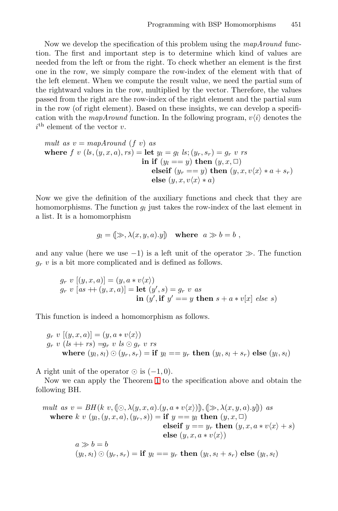Now we develop the specification of this problem using the *mapAround* function. The first and important step is to determine which kind of values are needed from the left or from the right. To check whether an element is the first one in the row, we simply compare the row-index of the element with that of the left element. When we compute the result value, we need the partial sum of the rightward values in the row, multiplied by the vector. Therefore, the values passed from the right are the row-index of the right element and the partial sum in the row (of right element). Based on these insights, we can develop a specification with the *mapAround* function. In the following program,  $v\langle i \rangle$  denotes the  $i<sup>th</sup>$  element of the vector  $v$ .

mult as 
$$
v = mapAround(f v)
$$
 as

\nwhere  $f v (ls, (y, x, a), rs) = \text{let } y_l = g_l ls; (y_r, s_r) = g_r v rs$ 

\nin if  $(y_l == y) \text{ then } (y, x, \Box)$ 

\nelse if  $(y_r == y) \text{ then } (y, x, v \langle x \rangle * a + s_r)$ 

\nelse  $(y, x, v \langle x \rangle * a)$ 

Now we give the definition of the auxiliary functions and check that they are homomorphisms. The function  $g_l$  just takes the row-index of the last element in a list. It is a homomorphism

$$
g_l = (\gg, \lambda(x, y, a).y) \quad \text{where} \quad a \gg b = b ,
$$

and any value (here we use  $-1$ ) is a left unit of the operator  $\gg$ . The function g*<sup>r</sup>* v is a bit more complicated and is defined as follows.

$$
g_r v [(y, x, a)] = (y, a * v \langle x \rangle)
$$
  
\n
$$
g_r v [as + (y, x, a)] = \text{let } (y', s) = g_r v as
$$
  
\n
$$
\text{in } (y', \text{if } y' = y \text{ then } s + a * v[x] else s)
$$

This function is i[nd](#page-2-1)eed a homomorphism as follows.

 $g_r v [(y, x, a)] = (y, a * v \langle x \rangle)$  $g_r v (ls + rs) = g_r v ls \odot g_r v rs$ where  $(y_l, s_l) \odot (y_r, s_r) =$ **if**  $y_l == y_r$  **then**  $(y_l, s_l + s_r)$  **else**  $(y_l, s_l)$ 

A right unit of the operator  $\odot$  is  $(-1, 0)$ .

Now we can apply the Theorem 1 to the specification above and obtain the following BH.

mult as 
$$
v = BH(k v, [\odot, \lambda(y, x, a).(y, a * v(x))])
$$
,  $(\gg, \lambda(x, y, a).y])$  as where  $k v(y_l, (y, x, a), (y_r, s)) =$  if  $y == y_l$  then  $(y, x, \Box)$  **else** if  $y == y_r$  then  $(y, x, a * v\langle x \rangle + s)$  **else**  $(y, x, a * v\langle x \rangle)$ 

\n $a \gg b = b$ 

\n $(y_l, s_l) \odot (y_r, s_r) =$  if  $y_l == y_r$  then  $(y_l, s_l + s_r)$  else  $(y_l, s_l)$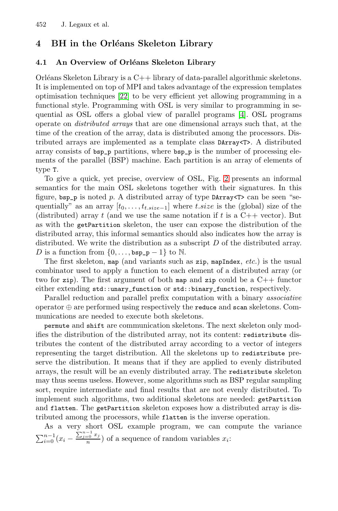# <span id="page-6-0"></span>**4 BH in the Orl´eans Skeleton [L](#page-10-4)ibrary**

#### **4.1 An Overview of Orléans Skeleton Library**

Orléans Skeleton Library is a  $C++$  library of data-parallel algorithmic skeletons. It is implemented on top of MPI and takes advantage of the expression templates optimisation techniques [22] to be very efficient yet allowing programming in a functional style. Programming with [OSL](#page-7-0) is very similar to programming in sequential as OSL offers a global view of parallel programs [4]. OSL programs operate on *distributed arrays* that are one dimensional arrays such that, at the time of the creation of the array, data is distributed among the processors. Distributed arrays are implemented as a template class DArray<T>. A distributed array consists of bsp\_p partitions, where bsp\_p is the number of processing elements of the parallel (BSP) machine. Each partition is an array of elements of type T.

To give a quick, yet precise, overview of OSL, Fig. 2 presents an informal semantics for the main OSL skeletons together with their signatures. In this figure,  $bsp_p$  is noted p. A distributed array of type DArray  $T >$  can be seen "sequentially" as an array  $[t_0, \ldots, t_{t.size-1}]$  where t.size is the (global) size of the (distributed) array t (and we use the same notation if t is a  $C++$  vector). But as with the getPartition skeleton, the user can expose the distribution of the distributed array, this informal semantics should also indicates how the array is distributed. We write the distribution as a subscript  $D$  of the distributed array. D is a function from  $\{0,\ldots,$  bsp\_p - 1} to N.

The first skeleton, map (and variants such as zip, mapIndex, *etc.*) is the usual combinator used to apply a function to each element of a distributed array (or two for zip). The first argument of both map and zip could be a  $C++$  functor either extending std::unary\_function or std::binary\_function, respectively.

Parallel reduction and parallel prefix computation with a binary *associative* operator ⊕ are performed using respectively the reduce and scan skeletons. Communications are needed to execute both skeletons.

permute and shift are communication skeletons. The next skeleton only modifies the distribution of the distributed array, not its content: redistribute distributes the content of the distributed array according to a vector of integers representing the target distribution. All the skeletons up to redistribute preserve the distribution. It means that if they are applied to evenly distributed arrays, the result will be an evenly distributed array. The redistribute skeleton may thus seems useless. However, some algorithms such as BSP regular sampling sort, require intermediate and final results that are not evenly distributed. To implement such algorithms, two additional skeletons are needed: getPartition and flatten. The getPartition skeleton exposes how a distributed array is distributed among the processors, while flatten is the inverse operation.

As a very short OSL example program, we can compute the variance  $\sum_{i=0}^{n-1} (x_i - \frac{\sum_{j=0}^{n-1} x_j}{n})$  of a sequence of random variables  $x_i$ :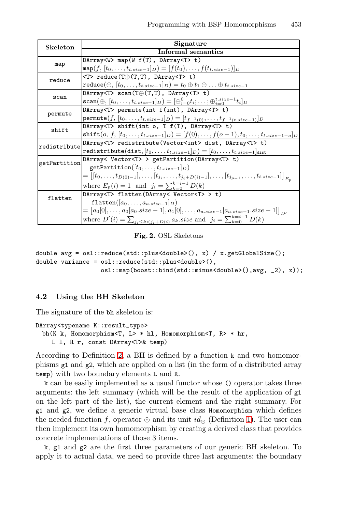| <b>Skeleton</b> | Signature                                                                                                                  |
|-----------------|----------------------------------------------------------------------------------------------------------------------------|
|                 | Informal semantics                                                                                                         |
| map             | DArray <w> map(W <math>f(T)</math>, DArray<t> t)</t></w>                                                                   |
|                 | $\texttt{map}(f,[t_0,\ldots,t_{t.size-1}]_D) = [f(t_0),\ldots,f(t_{t.size-1})]_D$                                          |
| reduce          | $\langle T \rangle$ reduce(T $\oplus$ (T,T), DArray $\langle T \rangle$ t)                                                 |
|                 | $\texttt{reduce}(\oplus, [t_0, \ldots, t_{t.size-1}]_D) = t_0 \oplus t_1 \oplus \ldots \oplus t_{t.size-1}$                |
| scan            | DArray <t> <math>scan(T\oplus(T,T)</math>, DArray<t> t)</t></t>                                                            |
|                 | $\texttt{scan}(\oplus, [t_0, \ldots, t_{t.size-1}]_D) = [\oplus_{i=0}^{0} t_i; \ldots; \oplus_{i=0}^{t.size-1} t_i]_D$     |
| permute         | DArray <t> permute(int f(int), DArray<t> t)</t></t>                                                                        |
|                 | permute(f, $[t_0, \ldots, t_{t.size-1}]_D$ ) = $[t_{f^{-1}(0)}, \ldots, t_{f^{-1}(t.size-1)}]_D$                           |
| shift           | DArray <t> shift(int o, T f(T), DArray<t> t)</t></t>                                                                       |
|                 | shift $(o, f, [t_0, \ldots, t_{t.size-1}]_D) = [f(0), \ldots, f(o-1), t_0, \ldots, t_{t.size-1-o}]_D$                      |
| redistribute    | DArray <t> redistribute(Vector<int> dist, DArray<t> t)</t></int></t>                                                       |
|                 | redistribute(dist, $[t_0, \ldots, t_{t.size-1}]_D) = [t_0, \ldots, t_{t.size-1}]_{dist}$                                   |
| getPartition    | DArray< Vector <t> &gt; getPartition(DArray<t> t)</t></t>                                                                  |
|                 | getPartition( $[t_0, \ldots, t_{t.size-1}]$                                                                                |
|                 | $=\big[[t_0,\ldots,t_{D(0)-1}],\ldots,[t_{j_i},\ldots,t_{j_i+D(i)-1}],\ldots,[t_{j_{p-1}},\ldots,t_{t.size-1}]\big]_{E_n}$ |
|                 | where $E_p(i) = 1$ and $j_i = \sum_{k=0}^{k=i-1} D(k)$                                                                     |
| flatten         | DArray <t> flatten(DArray&lt; Vector<t> &gt; t)</t></t>                                                                    |
|                 | flatten $([a_0, \ldots, a_{a.size-1}]_D)$                                                                                  |
|                 | $=\left[a_0[0], \ldots, a_0[a_0.size - 1], a_1[0], \ldots, a_{a.size - 1}[a_{a.size - 1.size - 1}]\right]_{D'}$            |
|                 | where $D'(i) = \sum_{j_i \le k < j_i + D(i)} a_k.size$ and $j_i = \sum_{k=0}^{k=i-1} D(k)$                                 |

<span id="page-7-0"></span>**Fig. 2.** OSL Skeletons

double avg = osl::reduce(std::plus<double>(), x) / x.getGlobalSize(); double variance = osl::reduce(std::plus<double>(), osl::map(boost::bind(std::minus<double>(),avg, \_2), x));

### **4.2 Using the BH Skeleton**

The signature of the bh skeleton is:

```
DArray<typename K::result_type>
 bh(K k, Homomorphism<T, L> * hl, Homomorphism<T, R> * hr,
    L l, R r, const DArray<T>& temp)
```
According to Definition 2, a BH is defined [by](#page-1-1) a function k and two homomorphisms g1 and g2, which are applied on a list (in the form of a distributed array temp) with two boundary elements L and R.

k can be easily implemented as a usual functor whose () operator takes three arguments: the left summary (which will be the result of the application of g1 on the left part of the list), the current element and the right summary. For g1 and g2, we define a generic virtual base class Homomorphism which defines the needed function f, operator  $\odot$  and its unit  $id_{\odot}$  (Definition 1). The user can then implement its own homomorphism by creating a derived class that provides concrete implementations of those 3 items.

k, g1 and g2 are the first three parameters of our generic BH skeleton. To apply it to actual data, we need to provide three last arguments: the boundary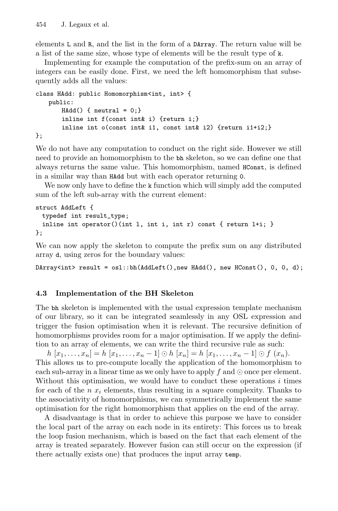elements L and R, and the list in the form of a DArray. The return value will be a list of the same size, whose type of elements will be the result type of k.

Implementing for example the computation of the prefix-sum on an array of integers can be easily done. First, we need the left homomorphism that subsequently adds all the values:

```
class HAdd: public Homomorphism<int, int> {
   public:
       HAdd() { neutral = 0; }
       inline int f(const int& i) {return i;}
       inline int o(const int& i1, const int& i2) {return i1+i2;}
};
```
We do not have any computation to conduct on the right side. However we still need to provide an homomorphism to the bh skeleton, so we can define one that always returns the same value. This homomorphism, named HConst, is defined in a similar way than HAdd but with each operator returning 0.

We now only have to define the k function which will simply add the computed sum of the left sub-array with the current element:

```
struct AddLeft {
 typedef int result_type;
 inline int operator()(int l, int i, int r) const { return l+i; }
};
```
We can now apply the skeleton to compute the prefix sum on any distributed array d, using zeros for the boundary values:

DArray<int> result = osl::bh(AddLeft(),new HAdd(), new HConst(), 0, 0, d);

## **4.3 Implementation of the BH Skeleton**

The bh skeleton is implemented with the usual expression template mechanism of our library, so it can be integrated seamlessly in any OSL expression and trigger the fusion optimisation when it is relevant. The recursive definition of homomorphisms provides room for a major optimisation. If we apply the definition to an array of elements, we can write the third recursive rule as such:

 $h[x_1,...,x_n] = h[x_1,...,x_n-1] ⊙ h[x_n] = h[x_1,...,x_n-1] ⊙ f(x_n).$ This allows us to pre-compute locally the application of the homomorphism to each sub-array in a linear time as we only have to apply f and  $\odot$  once per element. Without this optimisation, we would have to conduct these operations  $i$  times for each of the n x*<sup>i</sup>* elements, thus resulting in a square complexity. Thanks to the associativity of homomorphisms, we can symmetrically implement the same optimisation for the right homomorphism that applies on the end of the array.

A disadvantage is that in order to achieve this purpose we have to consider the local part of the array on each node in its entirety: This forces us to break the loop fusion mechanism, which is based on the fact that each element of the array is treated separately. However fusion can still occur on the expression (if there actually exists one) that produces the input array temp.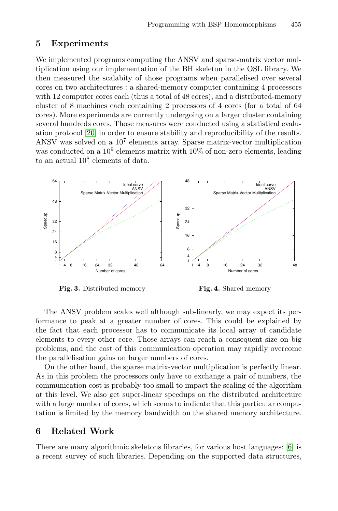## <span id="page-9-0"></span>**5 Experiments**

We implemented programs computing the ANSV and sparse-matrix vector multiplication using our implementation of the BH skeleton in the OSL library. We then measured the scalabity of those programs when parallelised over several cores on two architectures : a shared-memory computer containing 4 processors with 12 computer cores each (thus a total of 48 cores), and a distributed-memory cluster of 8 machines each containing 2 processors of 4 cores (for a total of 64 cores). More experiments are currently undergoing on a larger cluster containing several hundreds cores. Those measures were conducted using a statistical evaluation protocol [20] in order to ensure stability and reproducibility of the results. ANSV was solved on a 10<sup>7</sup> elements array. Sparse matrix-vector multiplication was conducted on a  $10^9$  elements matrix with  $10\%$  of non-zero elements, leading to an actual  $10^8$  elements of data.



**Fig. 3.** Distributed memory

**Fig. 4.** Shared memory

The ANSV problem scales well although sub-linearly, we may expect its performance to peak at a greater number of cores. This could be explained by the fact that each processor has to communicate its local array of candidate elements to every other core. Those arrays can reach a consequent size on big problems, and the cost of this communication operation may rapidly overcome the parallelisation gains on larger numbers of cores.

On the other hand, the sparse matrix-vector multiplication is perfectly linear. As in this problem the processors only have to exchange [a](#page-10-5) pair of numbers, the communication cost is probably too small to impact the scaling of the algorithm at this level. We also get super-linear speedups on the distributed architecture with a large number of cores, which seems to indicate that this particular computation is limited by the memory bandwidth on the shared memory architecture.

## **6 Related Work**

There are many algorithmic skeletons libraries, for various host languages: [6] is a recent survey of such libraries. Depending on the supported data structures,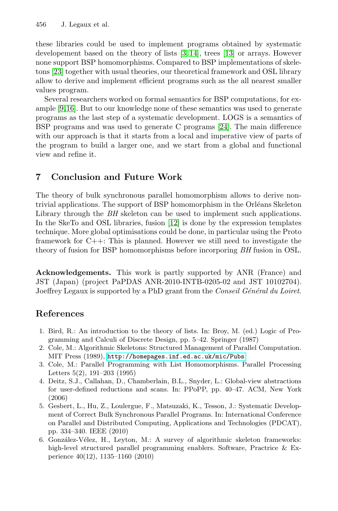these libraries could be used to implement programs obtained by systematic developement based on the theory o[f lis](#page-11-9)ts [3, 14], trees [13] or arrays. However none support BSP homomorphisms. Compared to BSP implementations of skeletons [23] together with usual theories, our theoretical framework and OSL library allow to derive and implement efficient programs such as the all nearest smaller values program.

Several researchers worked on formal semantics for BSP computations, for example [9,16]. But to our knowledge none of these semantics was used to generate programs as the last step of a systematic development. LOGS is a semantics of BSP programs and was used to generate C programs [24]. The main difference with our approach is that it starts from a local and imperative view of parts of the program to build a larger one, and we start from a global and functional view and refine it.

# **7 Conclusion and Future Work**

<span id="page-10-2"></span><span id="page-10-1"></span><span id="page-10-0"></span>The theory of bulk synchronous parallel homomorphism allows to derive nontrivial applications. The support of BSP homomorphism in the Orléans Skeleton Library through the *BH* skeleton can be used to implement such applications. In the SkeTo and OSL libraries, fusion [12] is done by the expression templates technique. More global optimisations could be done, in particular using the Proto framework for C++: This is planned. However we still need to investigate the theory of fusion for BSP homomorphisms before incorporing *BH* fusion in OSL.

<span id="page-10-4"></span><span id="page-10-3"></span>**Acknowledgements.** This work is partly supported by ANR (France) and JST (Japan) (project PaPDAS ANR-2010-INTB-0205-02 and JST 10102704). Jo[effrey](http://homepages.inf.ed.ac.uk/mic/Pubs) [Legaux](http://homepages.inf.ed.ac.uk/mic/Pubs) [is](http://homepages.inf.ed.ac.uk/mic/Pubs) [supported](http://homepages.inf.ed.ac.uk/mic/Pubs) [by](http://homepages.inf.ed.ac.uk/mic/Pubs) [a](http://homepages.inf.ed.ac.uk/mic/Pubs) [PhD](http://homepages.inf.ed.ac.uk/mic/Pubs) [grant](http://homepages.inf.ed.ac.uk/mic/Pubs) [f](http://homepages.inf.ed.ac.uk/mic/Pubs)rom the *Conseil G´en´eral du Loiret*.

## <span id="page-10-5"></span>**References**

- 1. Bird, R.: An introduction to the theory of lists. In: Broy, M. (ed.) Logic of Programming and Calculi of Discrete Design, pp. 5–42. Springer (1987)
- 2. Cole, M.: Algorithmic Skeletons: Structured Management of Parallel Computation. MIT Press (1989), http://homepages.inf.ed.ac.uk/mic/Pubs
- 3. Cole, M.: Parallel Programming with List Homomorphisms. Parallel Processing Letters 5(2), 191–203 (1995)
- 4. Deitz, S.J., Callahan, D., Chamberlain, B.L., Snyder, L.: Global-view abstractions for user-defined reductions and scans. In: PPoPP, pp. 40–47. ACM, New York (2006)
- 5. Gesbert, L., Hu, Z., Loulergue, F., Matsuzaki, K., Tesson, J.: Systematic Development of Correct Bulk Synchronous Parallel Programs. In: International Conference on Parallel and Distributed Computing, Applications and Technologies (PDCAT), pp. 334–340. IEEE (2010)
- 6. González-Vélez, H., Leyton, M.: A survey of algorithmic skeleton frameworks: high-level structured parallel programming enablers. Software, Practrice & Experience 40(12), 1135–1160 (2010)